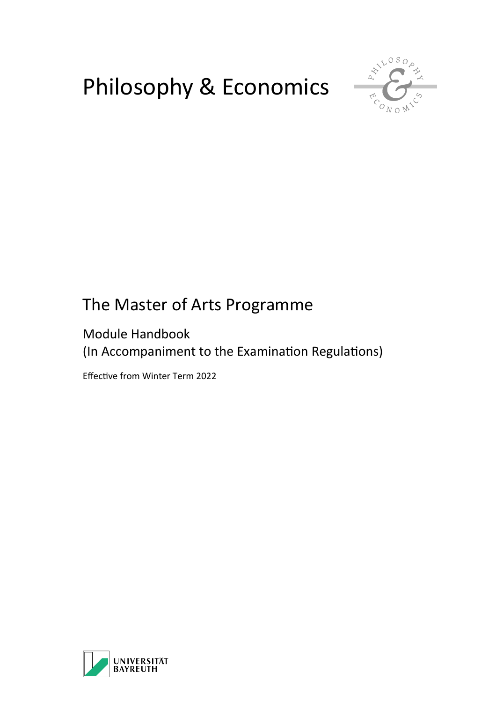# Philosophy & Economics



## The Master of Arts Programme

Module Handbook (In Accompaniment to the Examination Regulations)

Effective from Winter Term 2022

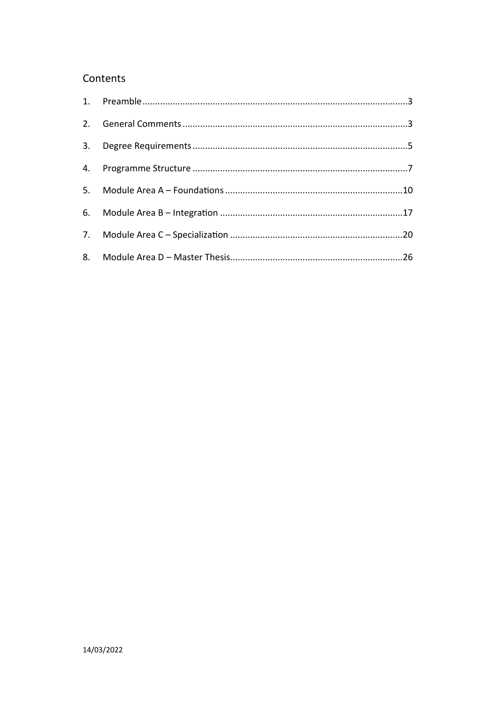#### Contents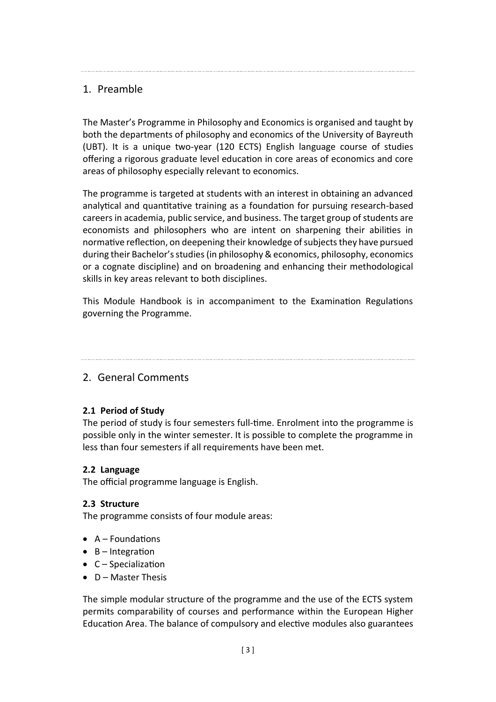#### 1. Preamble

The Master's Programme in Philosophy and Economics is organised and taught by both the departments of philosophy and economics of the University of Bayreuth (UBT). It is a unique two-year (120 ECTS) English language course of studies offering a rigorous graduate level education in core areas of economics and core areas of philosophy especially relevant to economics.

The programme is targeted at students with an interest in obtaining an advanced analytical and quantitative training as a foundation for pursuing research-based careers in academia, public service, and business. The target group of students are economists and philosophers who are intent on sharpening their abilities in normative reflection, on deepening their knowledge of subjects they have pursued during their Bachelor's studies(in philosophy & economics, philosophy, economics or a cognate discipline) and on broadening and enhancing their methodological skills in key areas relevant to both disciplines.

This Module Handbook is in accompaniment to the Examination Regulations governing the Programme.

#### 2. General Comments

#### **2.1 Period of Study**

The period of study is four semesters full-time. Enrolment into the programme is possible only in the winter semester. It is possible to complete the programme in less than four semesters if all requirements have been met.

#### **2.2 Language**

The official programme language is English.

#### **2.3 Structure**

The programme consists of four module areas:

- $\bullet$  A Foundations
- B Integration
- C Specialization
- D Master Thesis

The simple modular structure of the programme and the use of the ECTS system permits comparability of courses and performance within the European Higher Education Area. The balance of compulsory and elective modules also guarantees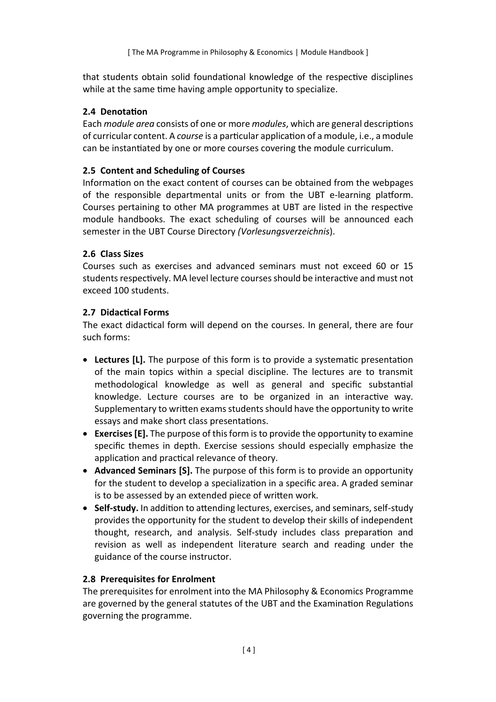that students obtain solid foundational knowledge of the respective disciplines while at the same time having ample opportunity to specialize.

#### **2.4 Denotation**

Each *module area* consists of one or more *modules*, which are general descriptions of curricular content. A *course* is a particular application of a module, i.e., a module can be instantiated by one or more courses covering the module curriculum.

#### **2.5 Content and Scheduling of Courses**

Information on the exact content of courses can be obtained from the webpages of the responsible departmental units or from the UBT e-learning platform. Courses pertaining to other MA programmes at UBT are listed in the respective module handbooks. The exact scheduling of courses will be announced each semester in the UBT Course Directory *(Vorlesungsverzeichnis*).

#### **2.6 Class Sizes**

Courses such as exercises and advanced seminars must not exceed 60 or 15 students respectively. MA level lecture courses should be interactive and must not exceed 100 students.

#### **2.7 Didactical Forms**

The exact didactical form will depend on the courses. In general, there are four such forms:

- **Lectures [L].** The purpose of this form is to provide a systematic presentation of the main topics within a special discipline. The lectures are to transmit methodological knowledge as well as general and specific substantial knowledge. Lecture courses are to be organized in an interactive way. Supplementary to written exams students should have the opportunity to write essays and make short class presentations.
- **Exercises[E].** The purpose of this form is to provide the opportunity to examine specific themes in depth. Exercise sessions should especially emphasize the application and practical relevance of theory.
- **Advanced Seminars [S].** The purpose of this form is to provide an opportunity for the student to develop a specialization in a specific area. A graded seminar is to be assessed by an extended piece of written work.
- **Self-study.** In addition to attending lectures, exercises, and seminars, self-study provides the opportunity for the student to develop their skills of independent thought, research, and analysis. Self-study includes class preparation and revision as well as independent literature search and reading under the guidance of the course instructor.

#### **2.8 Prerequisites for Enrolment**

The prerequisites for enrolment into the MA Philosophy & Economics Programme are governed by the general statutes of the UBT and the Examination Regulations governing the programme.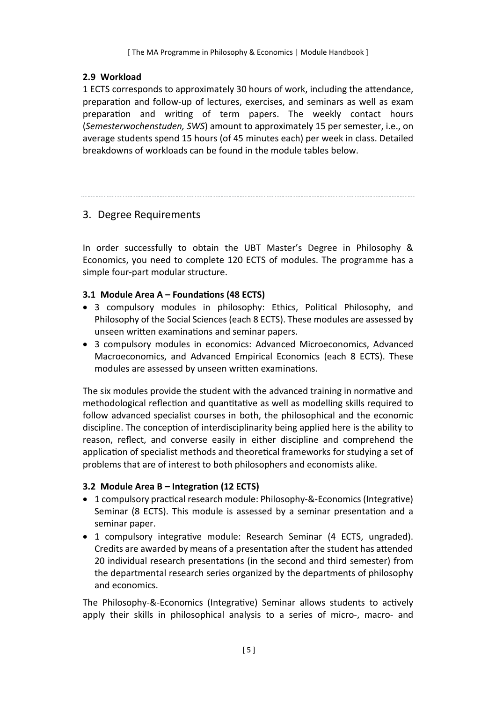#### **2.9 Workload**

1 ECTS corresponds to approximately 30 hours of work, including the attendance, preparation and follow-up of lectures, exercises, and seminars as well as exam preparation and writing of term papers. The weekly contact hours (*Semesterwochenstuden, SWS*) amount to approximately 15 per semester, i.e., on average students spend 15 hours (of 45 minutes each) per week in class. Detailed breakdowns of workloads can be found in the module tables below.

#### 3. Degree Requirements

In order successfully to obtain the UBT Master's Degree in Philosophy & Economics, you need to complete 120 ECTS of modules. The programme has a simple four-part modular structure.

#### **3.1 Module Area A – Foundations (48 ECTS)**

- 3 compulsory modules in philosophy: Ethics, Political Philosophy, and Philosophy of the Social Sciences (each 8 ECTS). These modules are assessed by unseen written examinations and seminar papers.
- 3 compulsory modules in economics: Advanced Microeconomics, Advanced Macroeconomics, and Advanced Empirical Economics (each 8 ECTS). These modules are assessed by unseen written examinations.

The six modules provide the student with the advanced training in normative and methodological reflection and quantitative as well as modelling skills required to follow advanced specialist courses in both, the philosophical and the economic discipline. The conception of interdisciplinarity being applied here is the ability to reason, reflect, and converse easily in either discipline and comprehend the application of specialist methods and theoretical frameworks for studying a set of problems that are of interest to both philosophers and economists alike.

#### **3.2 Module Area B – Integration (12 ECTS)**

- 1 compulsory practical research module: Philosophy-&-Economics (Integrative) Seminar (8 ECTS). This module is assessed by a seminar presentation and a seminar paper.
- 1 compulsory integrative module: Research Seminar (4 ECTS, ungraded). Credits are awarded by means of a presentation after the student has attended 20 individual research presentations (in the second and third semester) from the departmental research series organized by the departments of philosophy and economics.

The Philosophy-&-Economics (Integrative) Seminar allows students to actively apply their skills in philosophical analysis to a series of micro-, macro- and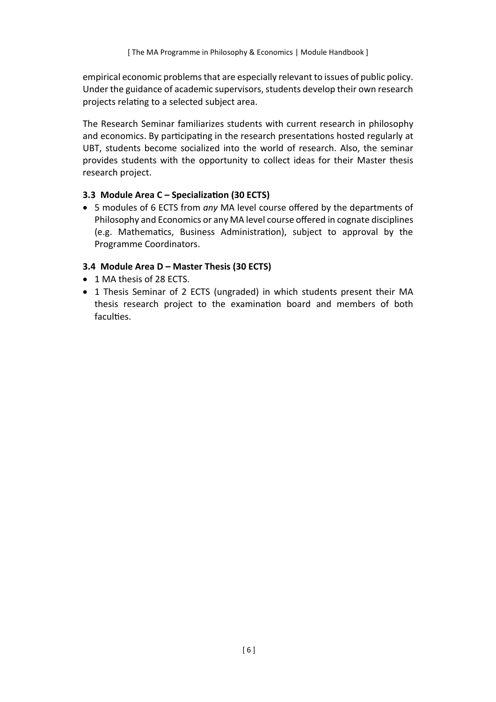empirical economic problems that are especially relevant to issues of public policy. Under the guidance of academic supervisors, students develop their own research projects relating to a selected subject area.

The Research Seminar familiarizes students with current research in philosophy and economics. By participating in the research presentations hosted regularly at UBT, students become socialized into the world of research. Also, the seminar provides students with the opportunity to collect ideas for their Master thesis research project.

#### **3.3 Module Area C – Specialization (30 ECTS)**

• 5 modules of 6 ECTS from *any* MA level course offered by the departments of Philosophy and Economics or any MA level course offered in cognate disciplines (e.g. Mathematics, Business Administration), subject to approval by the Programme Coordinators.

#### **3.4 Module Area D – Master Thesis (30 ECTS)**

- 1 MA thesis of 28 ECTS.
- 1 Thesis Seminar of 2 ECTS (ungraded) in which students present their MA thesis research project to the examination board and members of both faculties.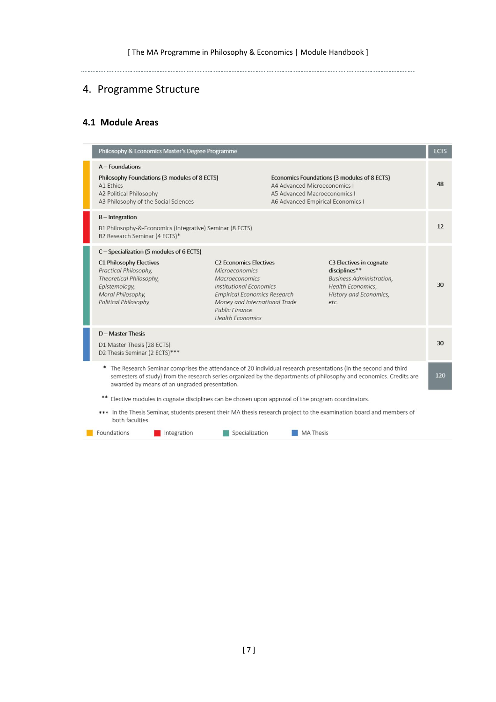### 4. Programme Structure

#### **4.1 Module Areas**

t,

|                                                                                                                                                                                                                                                                                                                 | Philosophy & Economics Master's Degree Programme                                                                                                                                                                                                                                                |                                                                                                                                                                                                                                        |                                                                                                                                                  |                                                                                                                                    | <b>ECTS</b> |
|-----------------------------------------------------------------------------------------------------------------------------------------------------------------------------------------------------------------------------------------------------------------------------------------------------------------|-------------------------------------------------------------------------------------------------------------------------------------------------------------------------------------------------------------------------------------------------------------------------------------------------|----------------------------------------------------------------------------------------------------------------------------------------------------------------------------------------------------------------------------------------|--------------------------------------------------------------------------------------------------------------------------------------------------|------------------------------------------------------------------------------------------------------------------------------------|-------------|
|                                                                                                                                                                                                                                                                                                                 | $A - Foundations$<br>Philosophy Foundations (3 modules of 8 ECTS)<br>A1 Ethics<br>A2 Political Philosophy<br>A3 Philosophy of the Social Sciences                                                                                                                                               |                                                                                                                                                                                                                                        | Economics Foundations (3 modules of 8 ECTS)<br>A4 Advanced Microeconomics I<br>A5 Advanced Macroeconomics I<br>A6 Advanced Empirical Economics I |                                                                                                                                    | 48          |
|                                                                                                                                                                                                                                                                                                                 | $B$ – Integration<br>B1 Philosophy-&-Economics (Integrative) Seminar (8 ECTS)<br>B2 Research Seminar (4 ECTS)*                                                                                                                                                                                  |                                                                                                                                                                                                                                        |                                                                                                                                                  |                                                                                                                                    | 12          |
|                                                                                                                                                                                                                                                                                                                 | C-Specialization (5 modules of 6 ECTS)<br><b>C1 Philosophy Electives</b><br>Practical Philosophy,<br>Theoretical Philosophy,<br>Epistemology,<br>Moral Philosophy,<br><b>Political Philosophy</b>                                                                                               | <b>C2 Economics Electives</b><br><b>Microeconomics</b><br><b>Macroeconomics</b><br>Institutional Economics<br><b>Empirical Economics Research</b><br>Money and International Trade<br><b>Public Finance</b><br><b>Health Economics</b> |                                                                                                                                                  | C3 Electives in cognate<br>disciplines**<br><b>Business Administration,</b><br>Health Economics,<br>History and Economics,<br>etc. | 30          |
|                                                                                                                                                                                                                                                                                                                 | D-Master Thesis<br>D1 Master Thesis (28 ECTS)<br>D2 Thesis Seminar (2 ECTS)***                                                                                                                                                                                                                  |                                                                                                                                                                                                                                        |                                                                                                                                                  |                                                                                                                                    | 30          |
|                                                                                                                                                                                                                                                                                                                 | $\ast$<br>The Research Seminar comprises the attendance of 20 individual research presentations (in the second and third<br>semesters of study) from the research series organized by the departments of philosophy and economics. Credits are<br>awarded by means of an ungraded presentation. |                                                                                                                                                                                                                                        |                                                                                                                                                  | 120                                                                                                                                |             |
| Elective modules in cognate disciplines can be chosen upon approval of the program coordinators.<br>*** In the Thesis Seminar, students present their MA thesis research project to the examination board and members of<br>both faculties.<br>Foundations<br><b>MA Thesis</b><br>Integration<br>Specialization |                                                                                                                                                                                                                                                                                                 |                                                                                                                                                                                                                                        |                                                                                                                                                  |                                                                                                                                    |             |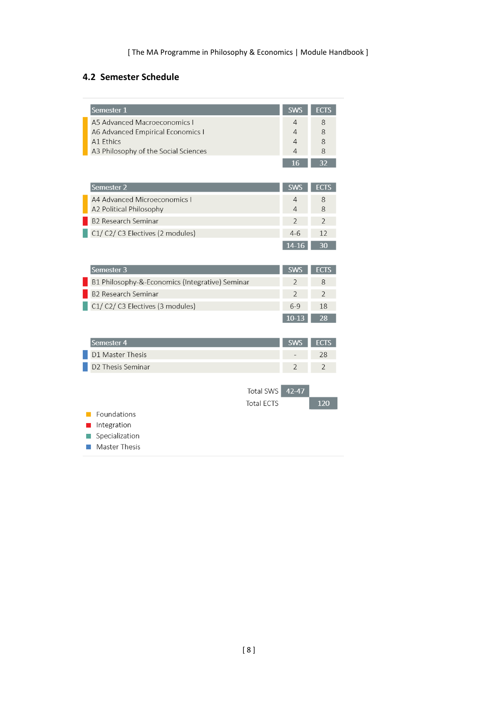#### **4.2 Semester Schedule**

| Semester 1                           | <b>SWS</b> | <b>FCTS</b> |
|--------------------------------------|------------|-------------|
| A5 Advanced Macroeconomics I         |            |             |
| A6 Advanced Empirical Economics I    |            |             |
| A1 Fthics                            |            |             |
| A3 Philosophy of the Social Sciences | 4          |             |
|                                      | 16         |             |

| Semester 2                      | <b>SWS</b> | <b>FCTS</b>     |
|---------------------------------|------------|-----------------|
| A4 Advanced Microeconomics L    |            |                 |
| A2 Political Philosophy         |            |                 |
| B <sub>2</sub> Research Seminar |            |                 |
| C1/C2/C3 Electives (2 modules)  | $4-6$      | $\overline{12}$ |
|                                 | 14-16      |                 |

| Semester 3                                      | <b>SWS</b> | <b>FCTS</b> |
|-------------------------------------------------|------------|-------------|
| B1 Philosophy-&-Economics (Integrative) Seminar |            |             |
| <b>B2 Research Seminar</b>                      |            |             |
| C1/C2/C3 Electives (3 modules)                  | $6-9$      | 18          |
|                                                 | $10-13$    |             |

| Semester 4        | SWS <b>FCTS</b> |
|-------------------|-----------------|
| D1 Master Thesis  |                 |
| D2 Thesis Seminar |                 |

| Total SWS 42-47   |     |
|-------------------|-----|
| <b>Total ECTS</b> | 12O |

- **Foundations**
- Integration
- Specialization
- Master Thesis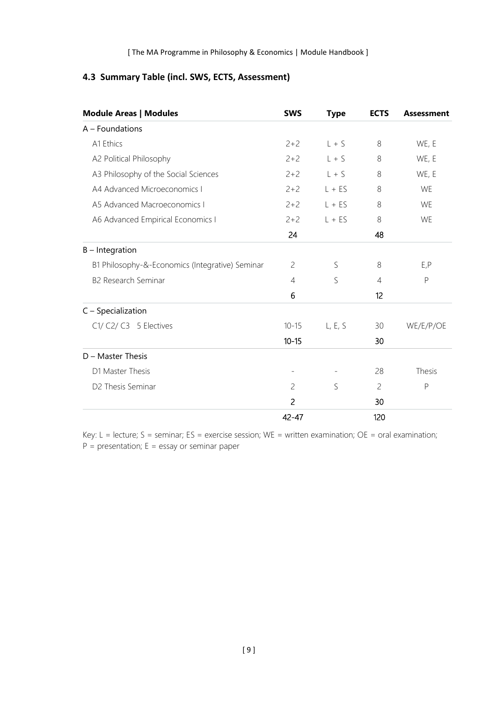#### **4.3 Summary Table (incl. SWS, ECTS, Assessment)**

| <b>Module Areas   Modules</b>                   | <b>SWS</b>     | <b>Type</b> | <b>ECTS</b>    | <b>Assessment</b> |
|-------------------------------------------------|----------------|-------------|----------------|-------------------|
| $A - Foundations$                               |                |             |                |                   |
| A1 Ethics                                       | $2+2$          | $L + S$     | 8              | WE, E             |
| A2 Political Philosophy                         | $2 + 2$        | $L + S$     | 8              | WE, E             |
| A3 Philosophy of the Social Sciences            | $2+2$          | $L + S$     | 8              | WE, E             |
| A4 Advanced Microeconomics I                    | $2 + 2$        | $L + ES$    | 8              | <b>WE</b>         |
| A5 Advanced Macroeconomics I                    | $2+2$          | $L + ES$    | 8              | WE                |
| A6 Advanced Empirical Economics I               | $2+2$          | $L + ES$    | 8              | WE                |
|                                                 | 24             |             | 48             |                   |
| $B$ – Integration                               |                |             |                |                   |
| B1 Philosophy-&-Economics (Integrative) Seminar | 2              | S           | 8              | E, P              |
| B2 Research Seminar                             | $\overline{4}$ | S           | $\overline{4}$ | $\mathsf{P}$      |
|                                                 | 6              |             | 12             |                   |
| C - Specialization                              |                |             |                |                   |
| C1/ C2/ C3 5 Electives                          | $10 - 15$      | L, E, S     | 30             | WE/E/P/OE         |
|                                                 | $10 - 15$      |             | 30             |                   |
| D - Master Thesis                               |                |             |                |                   |
| D1 Master Thesis                                |                |             | 28             | Thesis            |
| D2 Thesis Seminar                               | $\overline{c}$ | S           | $\overline{c}$ | P                 |
|                                                 | $\overline{c}$ |             | 30             |                   |
|                                                 | $42 - 47$      |             | 120            |                   |

Key: L = lecture; S = seminar; ES = exercise session; WE = written examination; OE = oral examination;  $P =$  presentation;  $E =$  essay or seminar paper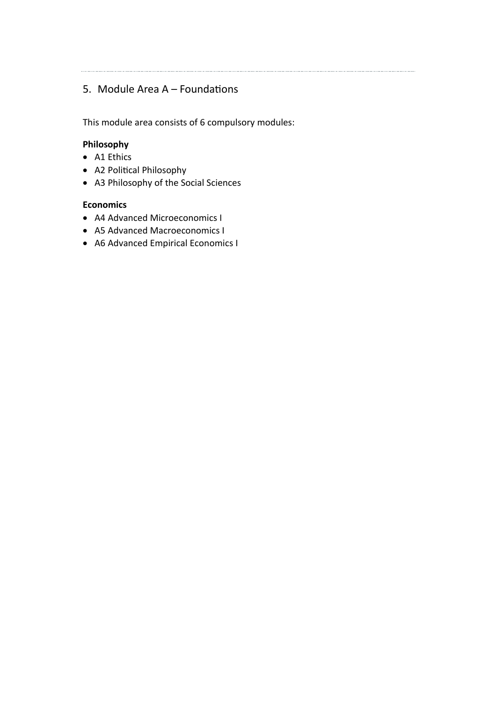#### 5. Module Area A – Foundations

This module area consists of 6 compulsory modules:

#### **Philosophy**

- A1 Ethics
- A2 Political Philosophy
- A3 Philosophy of the Social Sciences

#### **Economics**

- A4 Advanced Microeconomics I
- A5 Advanced Macroeconomics I
- A6 Advanced Empirical Economics I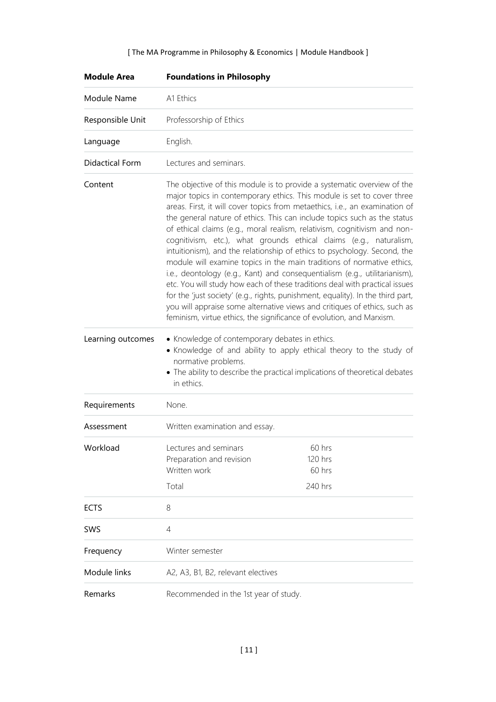| <b>Module Area</b>                                                                                                                                                                                                                                                                                                                                                                                                                                                                                                                                                                                                                                                                                                                                                                                                                                                                                                                                                                                                                   | <b>Foundations in Philosophy</b>                                                    |                                                                                                                                                   |  |
|--------------------------------------------------------------------------------------------------------------------------------------------------------------------------------------------------------------------------------------------------------------------------------------------------------------------------------------------------------------------------------------------------------------------------------------------------------------------------------------------------------------------------------------------------------------------------------------------------------------------------------------------------------------------------------------------------------------------------------------------------------------------------------------------------------------------------------------------------------------------------------------------------------------------------------------------------------------------------------------------------------------------------------------|-------------------------------------------------------------------------------------|---------------------------------------------------------------------------------------------------------------------------------------------------|--|
| Module Name                                                                                                                                                                                                                                                                                                                                                                                                                                                                                                                                                                                                                                                                                                                                                                                                                                                                                                                                                                                                                          | A1 Ethics                                                                           |                                                                                                                                                   |  |
| Responsible Unit<br>Professorship of Ethics                                                                                                                                                                                                                                                                                                                                                                                                                                                                                                                                                                                                                                                                                                                                                                                                                                                                                                                                                                                          |                                                                                     |                                                                                                                                                   |  |
| Language                                                                                                                                                                                                                                                                                                                                                                                                                                                                                                                                                                                                                                                                                                                                                                                                                                                                                                                                                                                                                             | English.                                                                            |                                                                                                                                                   |  |
| <b>Didactical Form</b>                                                                                                                                                                                                                                                                                                                                                                                                                                                                                                                                                                                                                                                                                                                                                                                                                                                                                                                                                                                                               | Lectures and seminars.                                                              |                                                                                                                                                   |  |
| The objective of this module is to provide a systematic overview of the<br>Content<br>major topics in contemporary ethics. This module is set to cover three<br>areas. First, it will cover topics from metaethics, i.e., an examination of<br>the general nature of ethics. This can include topics such as the status<br>of ethical claims (e.g., moral realism, relativism, cognitivism and non-<br>cognitivism, etc.), what grounds ethical claims (e.g., naturalism,<br>intuitionism), and the relationship of ethics to psychology. Second, the<br>module will examine topics in the main traditions of normative ethics,<br>i.e., deontology (e.g., Kant) and consequentialism (e.g., utilitarianism),<br>etc. You will study how each of these traditions deal with practical issues<br>for the 'just society' (e.g., rights, punishment, equality). In the third part,<br>you will appraise some alternative views and critiques of ethics, such as<br>feminism, virtue ethics, the significance of evolution, and Marxism. |                                                                                     |                                                                                                                                                   |  |
| Learning outcomes                                                                                                                                                                                                                                                                                                                                                                                                                                                                                                                                                                                                                                                                                                                                                                                                                                                                                                                                                                                                                    | • Knowledge of contemporary debates in ethics.<br>normative problems.<br>in ethics. | • Knowledge of and ability to apply ethical theory to the study of<br>• The ability to describe the practical implications of theoretical debates |  |
| Requirements                                                                                                                                                                                                                                                                                                                                                                                                                                                                                                                                                                                                                                                                                                                                                                                                                                                                                                                                                                                                                         | None.                                                                               |                                                                                                                                                   |  |
| Assessment                                                                                                                                                                                                                                                                                                                                                                                                                                                                                                                                                                                                                                                                                                                                                                                                                                                                                                                                                                                                                           | Written examination and essay.                                                      |                                                                                                                                                   |  |
| Workload                                                                                                                                                                                                                                                                                                                                                                                                                                                                                                                                                                                                                                                                                                                                                                                                                                                                                                                                                                                                                             | Lectures and seminars<br>Preparation and revision<br>Written work<br>Total          | 60 hrs<br>120 hrs<br>60 hrs<br>240 hrs                                                                                                            |  |
| <b>ECTS</b>                                                                                                                                                                                                                                                                                                                                                                                                                                                                                                                                                                                                                                                                                                                                                                                                                                                                                                                                                                                                                          | 8                                                                                   |                                                                                                                                                   |  |
| SWS                                                                                                                                                                                                                                                                                                                                                                                                                                                                                                                                                                                                                                                                                                                                                                                                                                                                                                                                                                                                                                  | 4                                                                                   |                                                                                                                                                   |  |
| Frequency                                                                                                                                                                                                                                                                                                                                                                                                                                                                                                                                                                                                                                                                                                                                                                                                                                                                                                                                                                                                                            | Winter semester                                                                     |                                                                                                                                                   |  |
| Module links                                                                                                                                                                                                                                                                                                                                                                                                                                                                                                                                                                                                                                                                                                                                                                                                                                                                                                                                                                                                                         | A2, A3, B1, B2, relevant electives                                                  |                                                                                                                                                   |  |
| Remarks                                                                                                                                                                                                                                                                                                                                                                                                                                                                                                                                                                                                                                                                                                                                                                                                                                                                                                                                                                                                                              | Recommended in the 1st year of study.                                               |                                                                                                                                                   |  |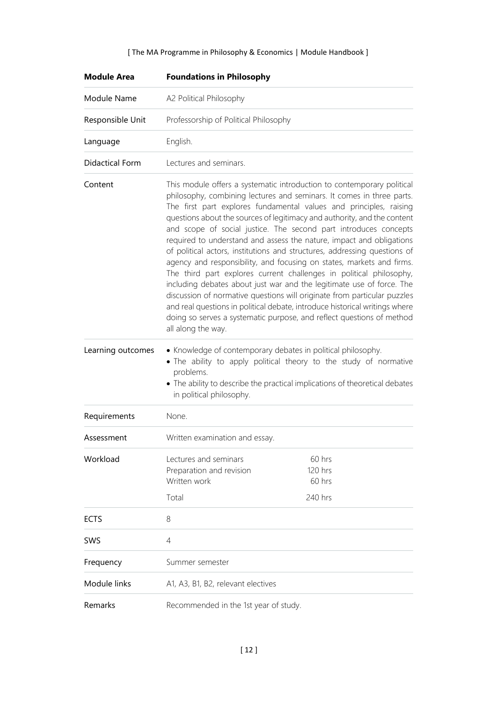| <b>Module Area</b>                                                                                                                                                                                                                                                                                                                                                                                                                                                                                                                                                                                                                                                                                                                                                                                                                                                                                                                                                                                                       | <b>Foundations in Philosophy</b>                                                                                                                                                                                                                          |                                        |  |
|--------------------------------------------------------------------------------------------------------------------------------------------------------------------------------------------------------------------------------------------------------------------------------------------------------------------------------------------------------------------------------------------------------------------------------------------------------------------------------------------------------------------------------------------------------------------------------------------------------------------------------------------------------------------------------------------------------------------------------------------------------------------------------------------------------------------------------------------------------------------------------------------------------------------------------------------------------------------------------------------------------------------------|-----------------------------------------------------------------------------------------------------------------------------------------------------------------------------------------------------------------------------------------------------------|----------------------------------------|--|
| Module Name                                                                                                                                                                                                                                                                                                                                                                                                                                                                                                                                                                                                                                                                                                                                                                                                                                                                                                                                                                                                              | A2 Political Philosophy                                                                                                                                                                                                                                   |                                        |  |
| Responsible Unit                                                                                                                                                                                                                                                                                                                                                                                                                                                                                                                                                                                                                                                                                                                                                                                                                                                                                                                                                                                                         | Professorship of Political Philosophy                                                                                                                                                                                                                     |                                        |  |
| Language                                                                                                                                                                                                                                                                                                                                                                                                                                                                                                                                                                                                                                                                                                                                                                                                                                                                                                                                                                                                                 | English.                                                                                                                                                                                                                                                  |                                        |  |
| Didactical Form                                                                                                                                                                                                                                                                                                                                                                                                                                                                                                                                                                                                                                                                                                                                                                                                                                                                                                                                                                                                          | Lectures and seminars.                                                                                                                                                                                                                                    |                                        |  |
| This module offers a systematic introduction to contemporary political<br>Content<br>philosophy, combining lectures and seminars. It comes in three parts.<br>The first part explores fundamental values and principles, raising<br>questions about the sources of legitimacy and authority, and the content<br>and scope of social justice. The second part introduces concepts<br>required to understand and assess the nature, impact and obligations<br>of political actors, institutions and structures, addressing questions of<br>agency and responsibility, and focusing on states, markets and firms.<br>The third part explores current challenges in political philosophy,<br>including debates about just war and the legitimate use of force. The<br>discussion of normative questions will originate from particular puzzles<br>and real questions in political debate, introduce historical writings where<br>doing so serves a systematic purpose, and reflect questions of method<br>all along the way. |                                                                                                                                                                                                                                                           |                                        |  |
| Learning outcomes                                                                                                                                                                                                                                                                                                                                                                                                                                                                                                                                                                                                                                                                                                                                                                                                                                                                                                                                                                                                        | • Knowledge of contemporary debates in political philosophy.<br>. The ability to apply political theory to the study of normative<br>problems.<br>• The ability to describe the practical implications of theoretical debates<br>in political philosophy. |                                        |  |
| Requirements                                                                                                                                                                                                                                                                                                                                                                                                                                                                                                                                                                                                                                                                                                                                                                                                                                                                                                                                                                                                             | None.                                                                                                                                                                                                                                                     |                                        |  |
| Assessment                                                                                                                                                                                                                                                                                                                                                                                                                                                                                                                                                                                                                                                                                                                                                                                                                                                                                                                                                                                                               | Written examination and essay.                                                                                                                                                                                                                            |                                        |  |
| Workload                                                                                                                                                                                                                                                                                                                                                                                                                                                                                                                                                                                                                                                                                                                                                                                                                                                                                                                                                                                                                 | Lectures and seminars<br>Preparation and revision<br>Written work<br>Total                                                                                                                                                                                | 60 hrs<br>120 hrs<br>60 hrs<br>240 hrs |  |
| <b>ECTS</b>                                                                                                                                                                                                                                                                                                                                                                                                                                                                                                                                                                                                                                                                                                                                                                                                                                                                                                                                                                                                              | 8                                                                                                                                                                                                                                                         |                                        |  |
| SWS                                                                                                                                                                                                                                                                                                                                                                                                                                                                                                                                                                                                                                                                                                                                                                                                                                                                                                                                                                                                                      | 4                                                                                                                                                                                                                                                         |                                        |  |
| Frequency                                                                                                                                                                                                                                                                                                                                                                                                                                                                                                                                                                                                                                                                                                                                                                                                                                                                                                                                                                                                                | Summer semester                                                                                                                                                                                                                                           |                                        |  |
| Module links                                                                                                                                                                                                                                                                                                                                                                                                                                                                                                                                                                                                                                                                                                                                                                                                                                                                                                                                                                                                             | A1, A3, B1, B2, relevant electives                                                                                                                                                                                                                        |                                        |  |
| Remarks                                                                                                                                                                                                                                                                                                                                                                                                                                                                                                                                                                                                                                                                                                                                                                                                                                                                                                                                                                                                                  | Recommended in the 1st year of study.                                                                                                                                                                                                                     |                                        |  |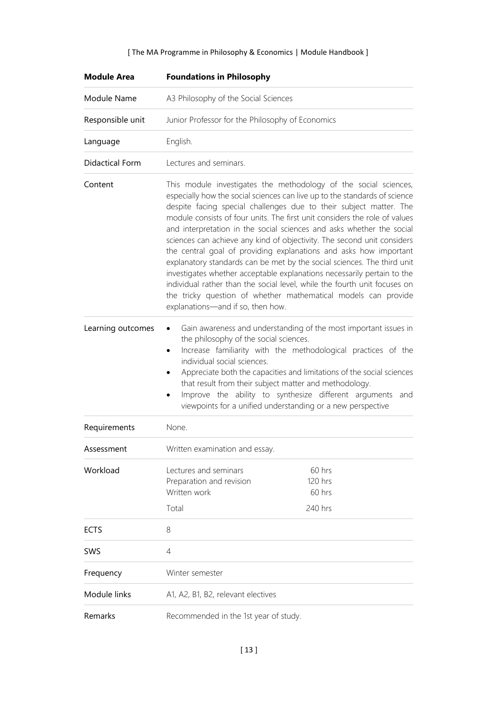| <b>Module Area</b>                                                                                                                                                                                                                                                                                                                                                                                                                                                                                                                                                                                                                                                                                                                                                                                                                                                               | <b>Foundations in Philosophy</b>                                           |                                                  |  |  |
|----------------------------------------------------------------------------------------------------------------------------------------------------------------------------------------------------------------------------------------------------------------------------------------------------------------------------------------------------------------------------------------------------------------------------------------------------------------------------------------------------------------------------------------------------------------------------------------------------------------------------------------------------------------------------------------------------------------------------------------------------------------------------------------------------------------------------------------------------------------------------------|----------------------------------------------------------------------------|--------------------------------------------------|--|--|
| Module Name                                                                                                                                                                                                                                                                                                                                                                                                                                                                                                                                                                                                                                                                                                                                                                                                                                                                      | A3 Philosophy of the Social Sciences                                       |                                                  |  |  |
| Responsible unit                                                                                                                                                                                                                                                                                                                                                                                                                                                                                                                                                                                                                                                                                                                                                                                                                                                                 |                                                                            | Junior Professor for the Philosophy of Economics |  |  |
| Language                                                                                                                                                                                                                                                                                                                                                                                                                                                                                                                                                                                                                                                                                                                                                                                                                                                                         | English.                                                                   |                                                  |  |  |
| <b>Didactical Form</b>                                                                                                                                                                                                                                                                                                                                                                                                                                                                                                                                                                                                                                                                                                                                                                                                                                                           | Lectures and seminars.                                                     |                                                  |  |  |
| Content<br>This module investigates the methodology of the social sciences,<br>especially how the social sciences can live up to the standards of science<br>despite facing special challenges due to their subject matter. The<br>module consists of four units. The first unit considers the role of values<br>and interpretation in the social sciences and asks whether the social<br>sciences can achieve any kind of objectivity. The second unit considers<br>the central goal of providing explanations and asks how important<br>explanatory standards can be met by the social sciences. The third unit<br>investigates whether acceptable explanations necessarily pertain to the<br>individual rather than the social level, while the fourth unit focuses on<br>the tricky question of whether mathematical models can provide<br>explanations-and if so, then how. |                                                                            |                                                  |  |  |
| Gain awareness and understanding of the most important issues in<br>Learning outcomes<br>٠<br>the philosophy of the social sciences.<br>Increase familiarity with the methodological practices of the<br>$\bullet$<br>individual social sciences.<br>Appreciate both the capacities and limitations of the social sciences<br>that result from their subject matter and methodology.<br>Improve the ability to synthesize different arguments and<br>viewpoints for a unified understanding or a new perspective                                                                                                                                                                                                                                                                                                                                                                 |                                                                            |                                                  |  |  |
| Requirements                                                                                                                                                                                                                                                                                                                                                                                                                                                                                                                                                                                                                                                                                                                                                                                                                                                                     | None.                                                                      |                                                  |  |  |
| Assessment                                                                                                                                                                                                                                                                                                                                                                                                                                                                                                                                                                                                                                                                                                                                                                                                                                                                       | Written examination and essay.                                             |                                                  |  |  |
| Workload                                                                                                                                                                                                                                                                                                                                                                                                                                                                                                                                                                                                                                                                                                                                                                                                                                                                         | Lectures and seminars<br>Preparation and revision<br>Written work<br>Total | 60 hrs<br>120 hrs<br>60 hrs<br>240 hrs           |  |  |
| <b>ECTS</b>                                                                                                                                                                                                                                                                                                                                                                                                                                                                                                                                                                                                                                                                                                                                                                                                                                                                      | 8                                                                          |                                                  |  |  |
| SWS                                                                                                                                                                                                                                                                                                                                                                                                                                                                                                                                                                                                                                                                                                                                                                                                                                                                              | 4                                                                          |                                                  |  |  |
| Frequency                                                                                                                                                                                                                                                                                                                                                                                                                                                                                                                                                                                                                                                                                                                                                                                                                                                                        | Winter semester                                                            |                                                  |  |  |
| Module links                                                                                                                                                                                                                                                                                                                                                                                                                                                                                                                                                                                                                                                                                                                                                                                                                                                                     | A1, A2, B1, B2, relevant electives                                         |                                                  |  |  |
| Remarks                                                                                                                                                                                                                                                                                                                                                                                                                                                                                                                                                                                                                                                                                                                                                                                                                                                                          | Recommended in the 1st year of study.                                      |                                                  |  |  |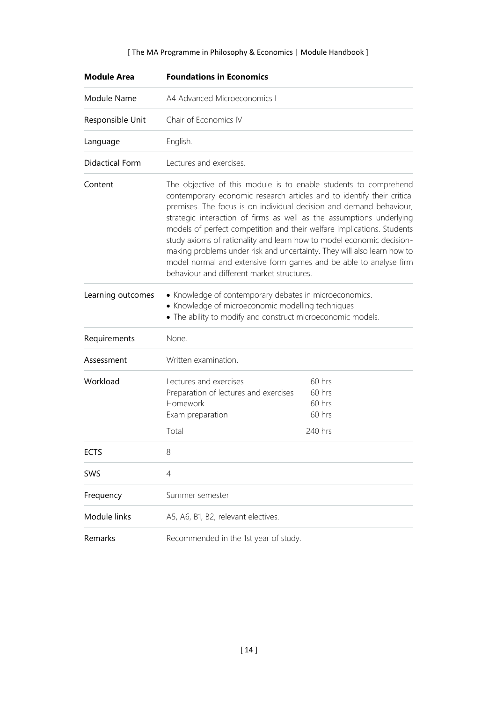| <b>Module Area</b>     | <b>Foundations in Economics</b>                                                                                                                                                                                                                                                                                                                                                                                                                                                                                                                                                                                                            |                                                 |  |
|------------------------|--------------------------------------------------------------------------------------------------------------------------------------------------------------------------------------------------------------------------------------------------------------------------------------------------------------------------------------------------------------------------------------------------------------------------------------------------------------------------------------------------------------------------------------------------------------------------------------------------------------------------------------------|-------------------------------------------------|--|
| Module Name            | A4 Advanced Microeconomics I                                                                                                                                                                                                                                                                                                                                                                                                                                                                                                                                                                                                               |                                                 |  |
| Responsible Unit       | Chair of Economics IV                                                                                                                                                                                                                                                                                                                                                                                                                                                                                                                                                                                                                      |                                                 |  |
| Language               | English.                                                                                                                                                                                                                                                                                                                                                                                                                                                                                                                                                                                                                                   |                                                 |  |
| <b>Didactical Form</b> | Lectures and exercises.                                                                                                                                                                                                                                                                                                                                                                                                                                                                                                                                                                                                                    |                                                 |  |
| Content                | The objective of this module is to enable students to comprehend<br>contemporary economic research articles and to identify their critical<br>premises. The focus is on individual decision and demand behaviour,<br>strategic interaction of firms as well as the assumptions underlying<br>models of perfect competition and their welfare implications. Students<br>study axioms of rationality and learn how to model economic decision-<br>making problems under risk and uncertainty. They will also learn how to<br>model normal and extensive form games and be able to analyse firm<br>behaviour and different market structures. |                                                 |  |
| Learning outcomes      | • Knowledge of contemporary debates in microeconomics.<br>• Knowledge of microeconomic modelling techniques<br>• The ability to modify and construct microeconomic models.                                                                                                                                                                                                                                                                                                                                                                                                                                                                 |                                                 |  |
| Requirements           | None.                                                                                                                                                                                                                                                                                                                                                                                                                                                                                                                                                                                                                                      |                                                 |  |
| Assessment             | Written examination.                                                                                                                                                                                                                                                                                                                                                                                                                                                                                                                                                                                                                       |                                                 |  |
| Workload               | Lectures and exercises<br>Preparation of lectures and exercises<br>Homework<br>Exam preparation<br>Total                                                                                                                                                                                                                                                                                                                                                                                                                                                                                                                                   | 60 hrs<br>60 hrs<br>60 hrs<br>60 hrs<br>240 hrs |  |
| <b>ECTS</b>            | 8                                                                                                                                                                                                                                                                                                                                                                                                                                                                                                                                                                                                                                          |                                                 |  |
| SWS                    | 4                                                                                                                                                                                                                                                                                                                                                                                                                                                                                                                                                                                                                                          |                                                 |  |
| Frequency              | Summer semester                                                                                                                                                                                                                                                                                                                                                                                                                                                                                                                                                                                                                            |                                                 |  |
| Module links           | A5, A6, B1, B2, relevant electives.                                                                                                                                                                                                                                                                                                                                                                                                                                                                                                                                                                                                        |                                                 |  |
| Remarks                | Recommended in the 1st year of study.                                                                                                                                                                                                                                                                                                                                                                                                                                                                                                                                                                                                      |                                                 |  |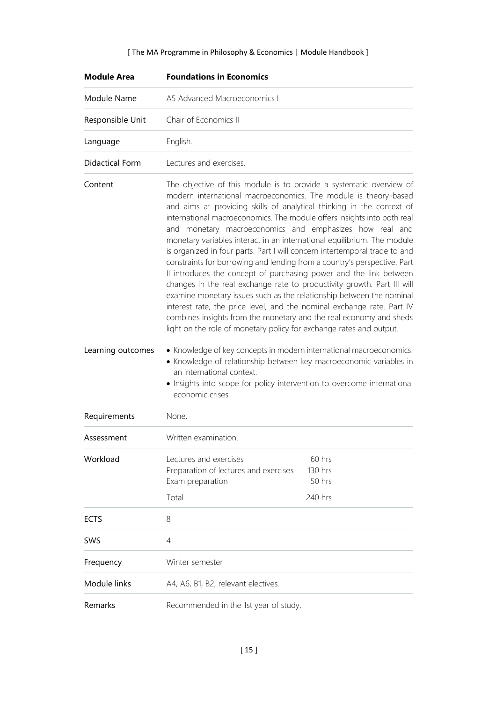| <b>Module Area</b> | <b>Foundations in Economics</b>                                                                                                                                                                                                                                                                                                                                                                                                                                                                                                                                                                                                                                                                                                                                                                                                                                                                                                                                                                                                            |                                        |
|--------------------|--------------------------------------------------------------------------------------------------------------------------------------------------------------------------------------------------------------------------------------------------------------------------------------------------------------------------------------------------------------------------------------------------------------------------------------------------------------------------------------------------------------------------------------------------------------------------------------------------------------------------------------------------------------------------------------------------------------------------------------------------------------------------------------------------------------------------------------------------------------------------------------------------------------------------------------------------------------------------------------------------------------------------------------------|----------------------------------------|
| Module Name        | A5 Advanced Macroeconomics I                                                                                                                                                                                                                                                                                                                                                                                                                                                                                                                                                                                                                                                                                                                                                                                                                                                                                                                                                                                                               |                                        |
| Responsible Unit   | Chair of Economics II                                                                                                                                                                                                                                                                                                                                                                                                                                                                                                                                                                                                                                                                                                                                                                                                                                                                                                                                                                                                                      |                                        |
| Language           | English.                                                                                                                                                                                                                                                                                                                                                                                                                                                                                                                                                                                                                                                                                                                                                                                                                                                                                                                                                                                                                                   |                                        |
| Didactical Form    | Lectures and exercises.                                                                                                                                                                                                                                                                                                                                                                                                                                                                                                                                                                                                                                                                                                                                                                                                                                                                                                                                                                                                                    |                                        |
| Content            | The objective of this module is to provide a systematic overview of<br>modern international macroeconomics. The module is theory-based<br>and aims at providing skills of analytical thinking in the context of<br>international macroeconomics. The module offers insights into both real<br>and monetary macroeconomics and emphasizes how real and<br>monetary variables interact in an international equilibrium. The module<br>is organized in four parts. Part I will concern intertemporal trade to and<br>constraints for borrowing and lending from a country's perspective. Part<br>Il introduces the concept of purchasing power and the link between<br>changes in the real exchange rate to productivity growth. Part III will<br>examine monetary issues such as the relationship between the nominal<br>interest rate, the price level, and the nominal exchange rate. Part IV<br>combines insights from the monetary and the real economy and sheds<br>light on the role of monetary policy for exchange rates and output. |                                        |
| Learning outcomes  | • Knowledge of key concepts in modern international macroeconomics.<br>• Knowledge of relationship between key macroeconomic variables in<br>an international context.<br>• Insights into scope for policy intervention to overcome international<br>economic crises                                                                                                                                                                                                                                                                                                                                                                                                                                                                                                                                                                                                                                                                                                                                                                       |                                        |
| Requirements       | None.                                                                                                                                                                                                                                                                                                                                                                                                                                                                                                                                                                                                                                                                                                                                                                                                                                                                                                                                                                                                                                      |                                        |
| Assessment         | Written examination.                                                                                                                                                                                                                                                                                                                                                                                                                                                                                                                                                                                                                                                                                                                                                                                                                                                                                                                                                                                                                       |                                        |
| Workload           | Lectures and exercises<br>Preparation of lectures and exercises<br>Exam preparation<br>Total                                                                                                                                                                                                                                                                                                                                                                                                                                                                                                                                                                                                                                                                                                                                                                                                                                                                                                                                               | 60 hrs<br>130 hrs<br>50 hrs<br>240 hrs |
| <b>ECTS</b>        | 8                                                                                                                                                                                                                                                                                                                                                                                                                                                                                                                                                                                                                                                                                                                                                                                                                                                                                                                                                                                                                                          |                                        |
| SWS                | 4                                                                                                                                                                                                                                                                                                                                                                                                                                                                                                                                                                                                                                                                                                                                                                                                                                                                                                                                                                                                                                          |                                        |
| Frequency          | Winter semester                                                                                                                                                                                                                                                                                                                                                                                                                                                                                                                                                                                                                                                                                                                                                                                                                                                                                                                                                                                                                            |                                        |
| Module links       | A4, A6, B1, B2, relevant electives.                                                                                                                                                                                                                                                                                                                                                                                                                                                                                                                                                                                                                                                                                                                                                                                                                                                                                                                                                                                                        |                                        |
| Remarks            | Recommended in the 1st year of study.                                                                                                                                                                                                                                                                                                                                                                                                                                                                                                                                                                                                                                                                                                                                                                                                                                                                                                                                                                                                      |                                        |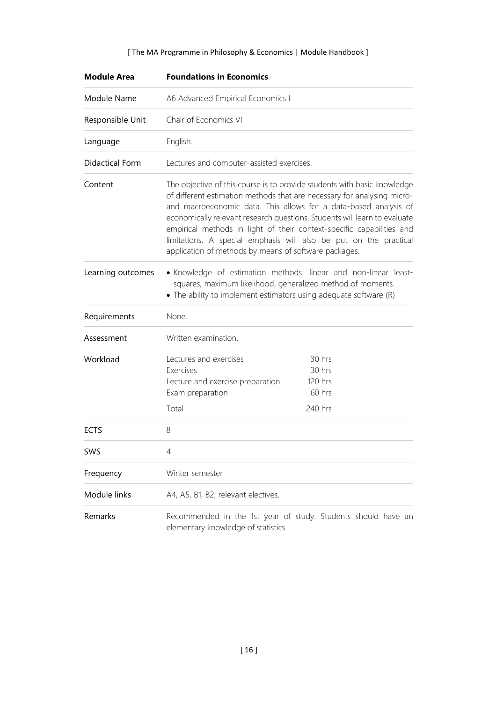| <b>Module Area</b>     | <b>Foundations in Economics</b>                                                                                                                                                                                                                                                                                                                                                                                                                                                                             |                                                  |
|------------------------|-------------------------------------------------------------------------------------------------------------------------------------------------------------------------------------------------------------------------------------------------------------------------------------------------------------------------------------------------------------------------------------------------------------------------------------------------------------------------------------------------------------|--------------------------------------------------|
| Module Name            | A6 Advanced Empirical Economics I                                                                                                                                                                                                                                                                                                                                                                                                                                                                           |                                                  |
| Responsible Unit       | Chair of Economics VI                                                                                                                                                                                                                                                                                                                                                                                                                                                                                       |                                                  |
| Language               | English.                                                                                                                                                                                                                                                                                                                                                                                                                                                                                                    |                                                  |
| <b>Didactical Form</b> | Lectures and computer-assisted exercises.                                                                                                                                                                                                                                                                                                                                                                                                                                                                   |                                                  |
| Content                | The objective of this course is to provide students with basic knowledge<br>of different estimation methods that are necessary for analysing micro-<br>and macroeconomic data. This allows for a data-based analysis of<br>economically relevant research questions. Students will learn to evaluate<br>empirical methods in light of their context-specific capabilities and<br>limitations. A special emphasis will also be put on the practical<br>application of methods by means of software packages. |                                                  |
| Learning outcomes      | · Knowledge of estimation methods: linear and non-linear least-<br>squares, maximum likelihood, generalized method of moments.<br>• The ability to implement estimators using adequate software (R)                                                                                                                                                                                                                                                                                                         |                                                  |
| Requirements           | None.                                                                                                                                                                                                                                                                                                                                                                                                                                                                                                       |                                                  |
| Assessment             | Written examination.                                                                                                                                                                                                                                                                                                                                                                                                                                                                                        |                                                  |
| Workload               | Lectures and exercises<br>Exercises<br>Lecture and exercise preparation<br>Exam preparation<br>Total                                                                                                                                                                                                                                                                                                                                                                                                        | 30 hrs<br>30 hrs<br>120 hrs<br>60 hrs<br>240 hrs |
| <b>ECTS</b>            | 8                                                                                                                                                                                                                                                                                                                                                                                                                                                                                                           |                                                  |
| SWS                    | 4                                                                                                                                                                                                                                                                                                                                                                                                                                                                                                           |                                                  |
| Frequency              | Winter semester                                                                                                                                                                                                                                                                                                                                                                                                                                                                                             |                                                  |
| Module links           | A4, A5, B1, B2, relevant electives.                                                                                                                                                                                                                                                                                                                                                                                                                                                                         |                                                  |
| Remarks                | Recommended in the 1st year of study. Students should have an<br>elementary knowledge of statistics.                                                                                                                                                                                                                                                                                                                                                                                                        |                                                  |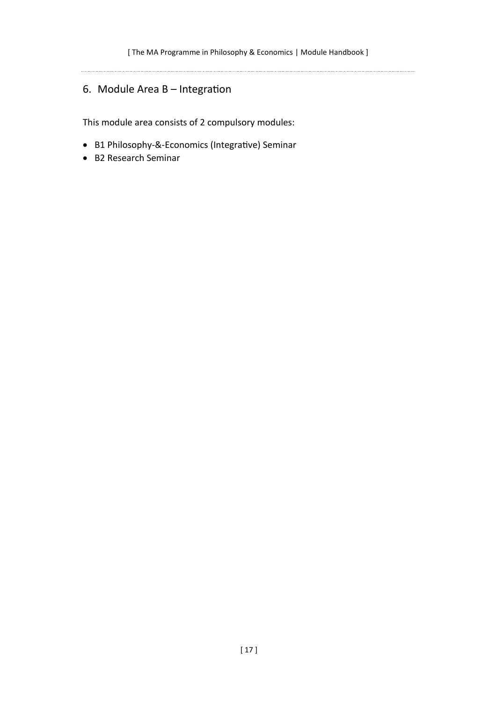#### 6. Module Area B – Integration

This module area consists of 2 compulsory modules:

- B1 Philosophy-&-Economics (Integrative) Seminar
- B2 Research Seminar

ă,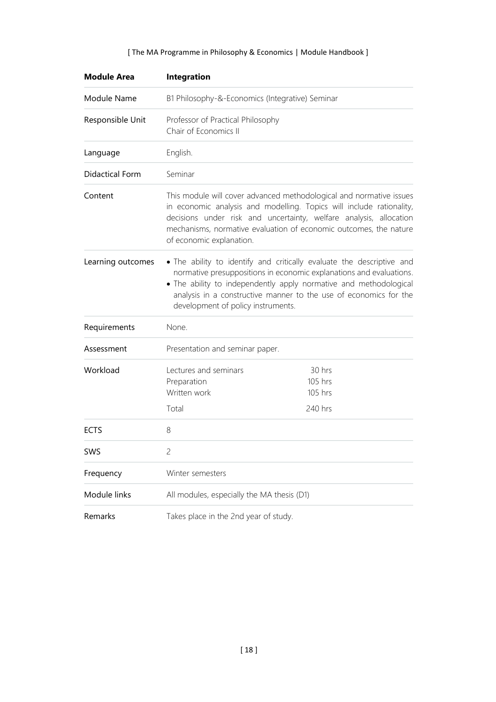| <b>Module Area</b>     | Integration                                                                                                                                                                                                                                                                                                                  |                                         |
|------------------------|------------------------------------------------------------------------------------------------------------------------------------------------------------------------------------------------------------------------------------------------------------------------------------------------------------------------------|-----------------------------------------|
| Module Name            | B1 Philosophy-&-Economics (Integrative) Seminar                                                                                                                                                                                                                                                                              |                                         |
| Responsible Unit       | Professor of Practical Philosophy<br>Chair of Economics II                                                                                                                                                                                                                                                                   |                                         |
| Language               | English.                                                                                                                                                                                                                                                                                                                     |                                         |
| <b>Didactical Form</b> | Seminar                                                                                                                                                                                                                                                                                                                      |                                         |
| Content                | This module will cover advanced methodological and normative issues<br>in economic analysis and modelling. Topics will include rationality,<br>decisions under risk and uncertainty, welfare analysis, allocation<br>mechanisms, normative evaluation of economic outcomes, the nature<br>of economic explanation.           |                                         |
| Learning outcomes      | . The ability to identify and critically evaluate the descriptive and<br>normative presuppositions in economic explanations and evaluations.<br>. The ability to independently apply normative and methodological<br>analysis in a constructive manner to the use of economics for the<br>development of policy instruments. |                                         |
| Requirements           | None.                                                                                                                                                                                                                                                                                                                        |                                         |
| Assessment             | Presentation and seminar paper.                                                                                                                                                                                                                                                                                              |                                         |
| Workload               | Lectures and seminars<br>Preparation<br>Written work<br>Total                                                                                                                                                                                                                                                                | 30 hrs<br>105 hrs<br>105 hrs<br>240 hrs |
| <b>ECTS</b>            | 8                                                                                                                                                                                                                                                                                                                            |                                         |
| SWS                    | $\overline{c}$                                                                                                                                                                                                                                                                                                               |                                         |
| Frequency              | Winter semesters                                                                                                                                                                                                                                                                                                             |                                         |
| Module links           | All modules, especially the MA thesis (D1)                                                                                                                                                                                                                                                                                   |                                         |
| Remarks                | Takes place in the 2nd year of study.                                                                                                                                                                                                                                                                                        |                                         |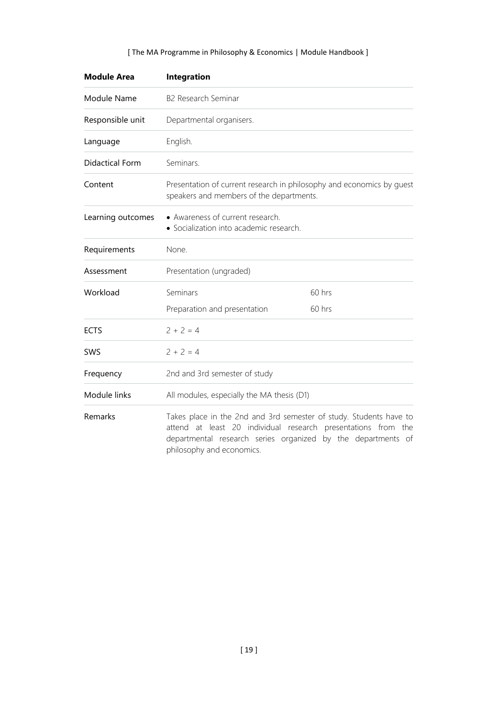| <b>Module Area</b>     | Integration                                                                                                                                                                                                                      |        |
|------------------------|----------------------------------------------------------------------------------------------------------------------------------------------------------------------------------------------------------------------------------|--------|
| Module Name            | <b>B2 Research Seminar</b>                                                                                                                                                                                                       |        |
| Responsible unit       | Departmental organisers.                                                                                                                                                                                                         |        |
| Language               | English.                                                                                                                                                                                                                         |        |
| <b>Didactical Form</b> | Seminars.                                                                                                                                                                                                                        |        |
| Content                | Presentation of current research in philosophy and economics by guest<br>speakers and members of the departments.                                                                                                                |        |
| Learning outcomes      | • Awareness of current research.<br>• Socialization into academic research.                                                                                                                                                      |        |
| Requirements           | None.                                                                                                                                                                                                                            |        |
| Assessment             | Presentation (ungraded)                                                                                                                                                                                                          |        |
| Workload               | Seminars                                                                                                                                                                                                                         | 60 hrs |
|                        | Preparation and presentation                                                                                                                                                                                                     | 60 hrs |
| <b>ECTS</b>            | $2 + 2 = 4$                                                                                                                                                                                                                      |        |
| <b>SWS</b>             | $2 + 2 = 4$                                                                                                                                                                                                                      |        |
| Frequency              | 2nd and 3rd semester of study                                                                                                                                                                                                    |        |
| Module links           | All modules, especially the MA thesis (D1)                                                                                                                                                                                       |        |
| Remarks                | Takes place in the 2nd and 3rd semester of study. Students have to<br>attend at least 20 individual research presentations from the<br>departmental research series organized by the departments of<br>philosophy and economics. |        |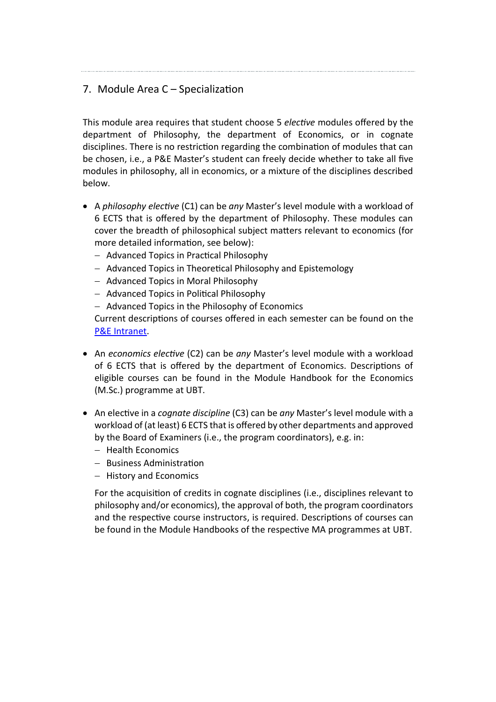#### 7. Module Area C – Specialization

This module area requires that student choose 5 *elective* modules offered by the department of Philosophy, the department of Economics, or in cognate disciplines. There is no restriction regarding the combination of modules that can be chosen, i.e., a P&E Master's student can freely decide whether to take all five modules in philosophy, all in economics, or a mixture of the disciplines described below.

- A *philosophy elective* (C1) can be *any* Master's level module with a workload of 6 ECTS that is offered by the department of Philosophy. These modules can cover the breadth of philosophical subject matters relevant to economics (for more detailed information, see below):
	- − Advanced Topics in Practical Philosophy
	- − Advanced Topics in Theoretical Philosophy and Epistemology
	- − Advanced Topics in Moral Philosophy
	- − Advanced Topics in Political Philosophy
	- − Advanced Topics in the Philosophy of Economics

Current descriptions of courses offered in each semester can be found on the [P&E Intranet.](http://intranet.pe.uni-bayreuth.de/studylists)

- An *economics elective* (C2) can be *any* Master's level module with a workload of 6 ECTS that is offered by the department of Economics. Descriptions of eligible courses can be found in the Module Handbook for the Economics (M.Sc.) programme at UBT.
- An elective in a *cognate discipline* (C3) can be *any* Master's level module with a workload of (at least) 6 ECTS that is offered by other departments and approved by the Board of Examiners (i.e., the program coordinators), e.g. in:
	- − Health Economics
	- − Business Administration
	- − History and Economics

For the acquisition of credits in cognate disciplines (i.e., disciplines relevant to philosophy and/or economics), the approval of both, the program coordinators and the respective course instructors, is required. Descriptions of courses can be found in the Module Handbooks of the respective MA programmes at UBT.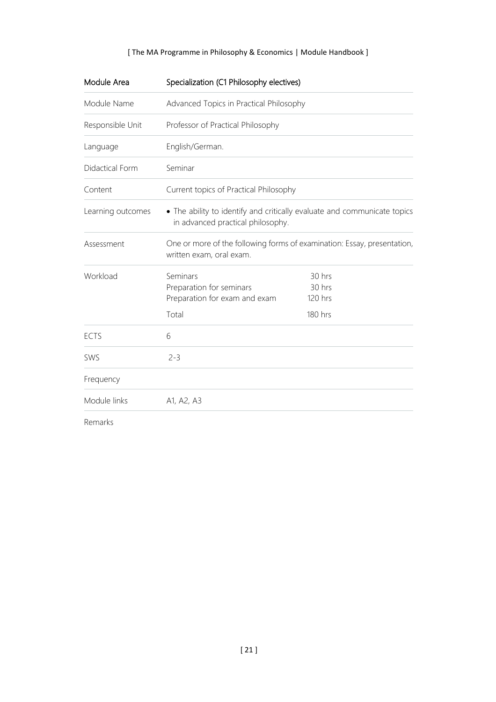| Module Area       | Specialization (C1 Philosophy electives)                                                                      |                             |
|-------------------|---------------------------------------------------------------------------------------------------------------|-----------------------------|
| Module Name       | Advanced Topics in Practical Philosophy                                                                       |                             |
| Responsible Unit  | Professor of Practical Philosophy                                                                             |                             |
| Language          | English/German.                                                                                               |                             |
| Didactical Form   | Seminar                                                                                                       |                             |
| Content           | Current topics of Practical Philosophy                                                                        |                             |
| Learning outcomes | • The ability to identify and critically evaluate and communicate topics<br>in advanced practical philosophy. |                             |
| Assessment        | One or more of the following forms of examination: Essay, presentation,<br>written exam, oral exam.           |                             |
| Workload          | Seminars<br>Preparation for seminars<br>Preparation for exam and exam                                         | 30 hrs<br>30 hrs<br>120 hrs |
|                   | Total                                                                                                         | 180 hrs                     |
| <b>ECTS</b>       | 6                                                                                                             |                             |
| SWS               | $2 - 3$                                                                                                       |                             |
| Frequency         |                                                                                                               |                             |
| Module links      | A1, A2, A3                                                                                                    |                             |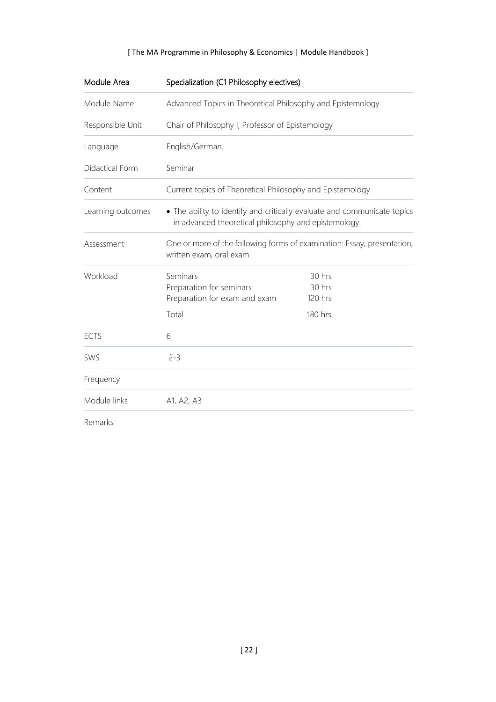| Module Area       | Specialization (C1 Philosophy electives)                                                                                         |                             |
|-------------------|----------------------------------------------------------------------------------------------------------------------------------|-----------------------------|
| Module Name       | Advanced Topics in Theoretical Philosophy and Epistemology                                                                       |                             |
| Responsible Unit  | Chair of Philosophy I, Professor of Epistemology                                                                                 |                             |
| Language          | English/German.                                                                                                                  |                             |
| Didactical Form   | Seminar                                                                                                                          |                             |
| Content           | Current topics of Theoretical Philosophy and Epistemology                                                                        |                             |
| Learning outcomes | • The ability to identify and critically evaluate and communicate topics<br>in advanced theoretical philosophy and epistemology. |                             |
| Assessment        | One or more of the following forms of examination: Essay, presentation,<br>written exam, oral exam.                              |                             |
| Workload          | Seminars<br>Preparation for seminars<br>Preparation for exam and exam                                                            | 30 hrs<br>30 hrs<br>120 hrs |
|                   | Total                                                                                                                            | 180 hrs                     |
| <b>ECTS</b>       | 6                                                                                                                                |                             |
| <b>SWS</b>        | $2 - 3$                                                                                                                          |                             |
| Frequency         |                                                                                                                                  |                             |
| Module links      | A1, A2, A3                                                                                                                       |                             |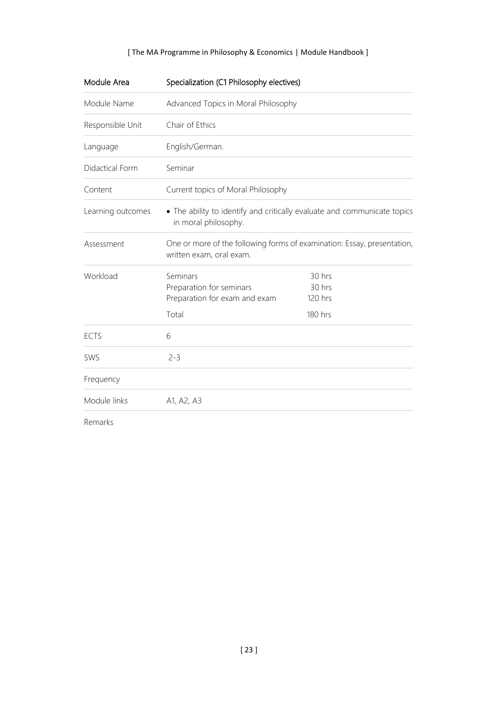| Module Area       | Specialization (C1 Philosophy electives)                                                            |         |  |
|-------------------|-----------------------------------------------------------------------------------------------------|---------|--|
| Module Name       | Advanced Topics in Moral Philosophy                                                                 |         |  |
| Responsible Unit  | Chair of Ethics                                                                                     |         |  |
| Language          | English/German.                                                                                     |         |  |
| Didactical Form   | Seminar                                                                                             |         |  |
| Content           | Current topics of Moral Philosophy                                                                  |         |  |
| Learning outcomes | • The ability to identify and critically evaluate and communicate topics<br>in moral philosophy.    |         |  |
| Assessment        | One or more of the following forms of examination: Essay, presentation,<br>written exam, oral exam. |         |  |
| Workload          | Seminars                                                                                            | 30 hrs  |  |
|                   | Preparation for seminars                                                                            | 30 hrs  |  |
|                   | Preparation for exam and exam                                                                       | 120 hrs |  |
|                   | Total                                                                                               | 180 hrs |  |
| <b>ECTS</b>       | 6                                                                                                   |         |  |
| SWS               | $2 - 3$                                                                                             |         |  |
| Frequency         |                                                                                                     |         |  |
| Module links      | A1, A2, A3                                                                                          |         |  |
|                   |                                                                                                     |         |  |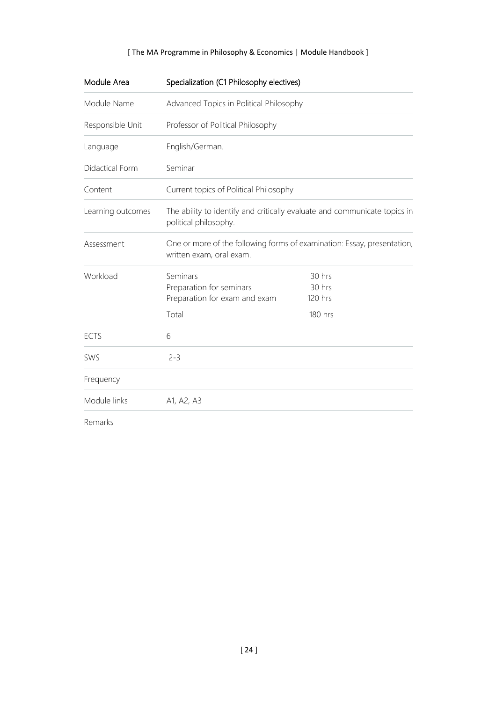| Module Area       | Specialization (C1 Philosophy electives)                                                            |         |
|-------------------|-----------------------------------------------------------------------------------------------------|---------|
| Module Name       | Advanced Topics in Political Philosophy                                                             |         |
| Responsible Unit  | Professor of Political Philosophy                                                                   |         |
| Language          | English/German.                                                                                     |         |
| Didactical Form   | Seminar                                                                                             |         |
| Content           | Current topics of Political Philosophy                                                              |         |
| Learning outcomes | The ability to identify and critically evaluate and communicate topics in<br>political philosophy.  |         |
| Assessment        | One or more of the following forms of examination: Essay, presentation,<br>written exam, oral exam. |         |
| Workload          | Seminars                                                                                            | 30 hrs  |
|                   | Preparation for seminars                                                                            | 30 hrs  |
|                   | Preparation for exam and exam                                                                       | 120 hrs |
|                   | Total                                                                                               | 180 hrs |
| <b>ECTS</b>       | 6                                                                                                   |         |
| SWS               | $2 - 3$                                                                                             |         |
| Frequency         |                                                                                                     |         |
| Module links      | A1, A2, A3                                                                                          |         |
|                   |                                                                                                     |         |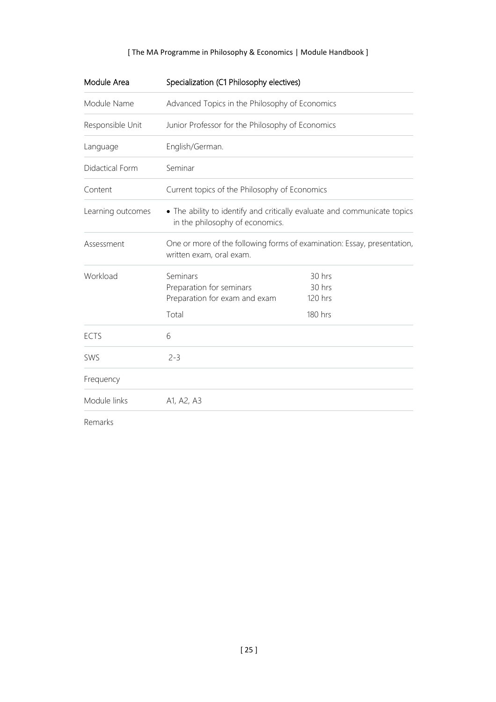| Specialization (C1 Philosophy electives)                                                                    |                               |
|-------------------------------------------------------------------------------------------------------------|-------------------------------|
| Advanced Topics in the Philosophy of Economics                                                              |                               |
| Junior Professor for the Philosophy of Economics                                                            |                               |
| English/German.                                                                                             |                               |
| Seminar                                                                                                     |                               |
| Current topics of the Philosophy of Economics                                                               |                               |
| • The ability to identify and critically evaluate and communicate topics<br>in the philosophy of economics. |                               |
| One or more of the following forms of examination: Essay, presentation,<br>written exam, oral exam.         |                               |
| Seminars<br>Preparation for seminars                                                                        | 30 hrs<br>30 hrs<br>120 hrs   |
| Total                                                                                                       | 180 hrs                       |
| 6                                                                                                           |                               |
| $2 - 3$                                                                                                     |                               |
|                                                                                                             |                               |
| A1, A2, A3                                                                                                  |                               |
|                                                                                                             | Preparation for exam and exam |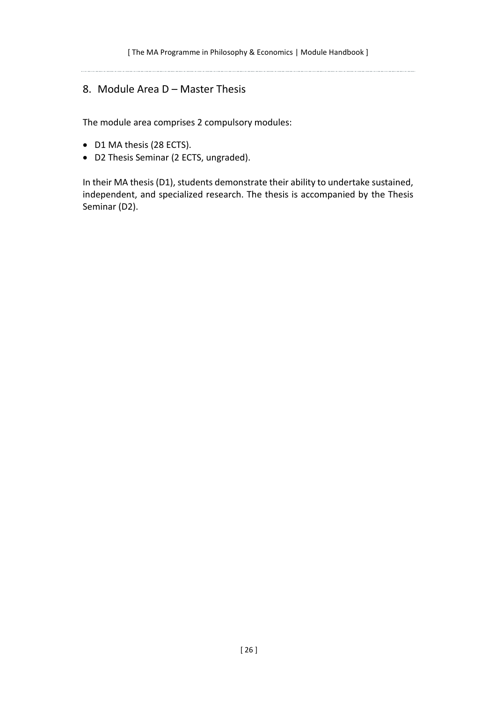#### 8. Module Area D – Master Thesis

The module area comprises 2 compulsory modules:

• D1 MA thesis (28 ECTS).

..........................

• D2 Thesis Seminar (2 ECTS, ungraded).

In their MA thesis (D1), students demonstrate their ability to undertake sustained, independent, and specialized research. The thesis is accompanied by the Thesis Seminar (D2).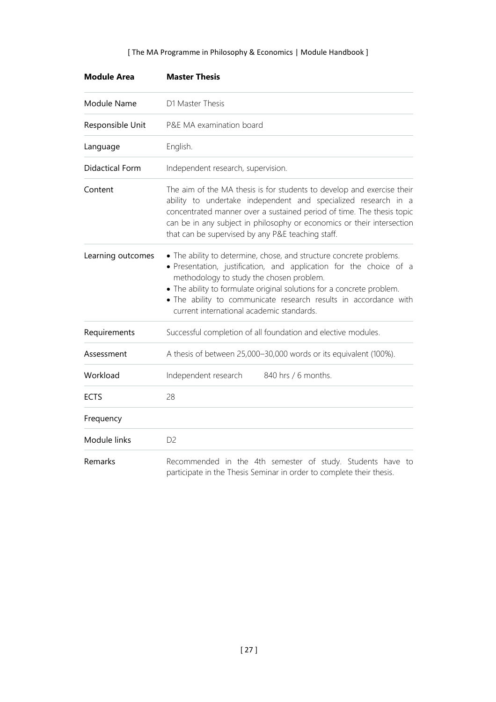| <b>Module Area</b>     | <b>Master Thesis</b>                                                                                                                                                                                                                                                                                                                                                            |  |
|------------------------|---------------------------------------------------------------------------------------------------------------------------------------------------------------------------------------------------------------------------------------------------------------------------------------------------------------------------------------------------------------------------------|--|
| Module Name            | D1 Master Thesis                                                                                                                                                                                                                                                                                                                                                                |  |
| Responsible Unit       | P&E MA examination board                                                                                                                                                                                                                                                                                                                                                        |  |
| Language               | English.                                                                                                                                                                                                                                                                                                                                                                        |  |
| <b>Didactical Form</b> | Independent research, supervision.                                                                                                                                                                                                                                                                                                                                              |  |
| Content                | The aim of the MA thesis is for students to develop and exercise their<br>ability to undertake independent and specialized research in a<br>concentrated manner over a sustained period of time. The thesis topic<br>can be in any subject in philosophy or economics or their intersection<br>that can be supervised by any P&E teaching staff.                                |  |
| Learning outcomes      | • The ability to determine, chose, and structure concrete problems.<br>· Presentation, justification, and application for the choice of a<br>methodology to study the chosen problem.<br>• The ability to formulate original solutions for a concrete problem.<br>. The ability to communicate research results in accordance with<br>current international academic standards. |  |
| Requirements           | Successful completion of all foundation and elective modules.                                                                                                                                                                                                                                                                                                                   |  |
| Assessment             | A thesis of between 25,000-30,000 words or its equivalent (100%).                                                                                                                                                                                                                                                                                                               |  |
| Workload               | Independent research<br>840 hrs / 6 months.                                                                                                                                                                                                                                                                                                                                     |  |
| <b>ECTS</b>            | 28                                                                                                                                                                                                                                                                                                                                                                              |  |
| Frequency              |                                                                                                                                                                                                                                                                                                                                                                                 |  |
| Module links           | D <sub>2</sub>                                                                                                                                                                                                                                                                                                                                                                  |  |
| Remarks                | Recommended in the 4th semester of study. Students have to<br>participate in the Thesis Seminar in order to complete their thesis.                                                                                                                                                                                                                                              |  |